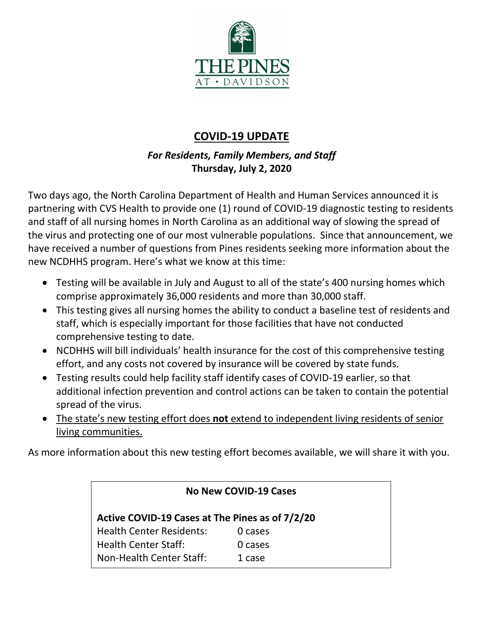

# **COVID-19 UPDATE**

# *For Residents, Family Members, and Staff* **Thursday, July 2, 2020**

Two days ago, the North Carolina Department of Health and Human Services announced it is partnering with CVS Health to provide one (1) round of COVID-19 diagnostic testing to residents and staff of all nursing homes in North Carolina as an additional way of slowing the spread of the virus and protecting one of our most vulnerable populations. Since that announcement, we have received a number of questions from Pines residents seeking more information about the new NCDHHS program. Here's what we know at this time:

- Testing will be available in July and August to all of the state's 400 nursing homes which comprise approximately 36,000 residents and more than 30,000 staff.
- This testing gives all nursing homes the ability to conduct a baseline test of residents and staff, which is especially important for those facilities that have not conducted comprehensive testing to date.
- NCDHHS will bill individuals' health insurance for the cost of this comprehensive testing effort, and any costs not covered by insurance will be covered by state funds.
- Testing results could help facility staff identify cases of COVID-19 earlier, so that additional infection prevention and control actions can be taken to contain the potential spread of the virus.
- The state's new testing effort does **not** extend to independent living residents of senior living communities.

As more information about this new testing effort becomes available, we will share it with you.

| <b>No New COVID-19 Cases</b>                    |         |
|-------------------------------------------------|---------|
| Active COVID-19 Cases at The Pines as of 7/2/20 |         |
| <b>Health Center Residents:</b>                 | 0 cases |
| <b>Health Center Staff:</b>                     | 0 cases |
| Non-Health Center Staff:                        | 1 case  |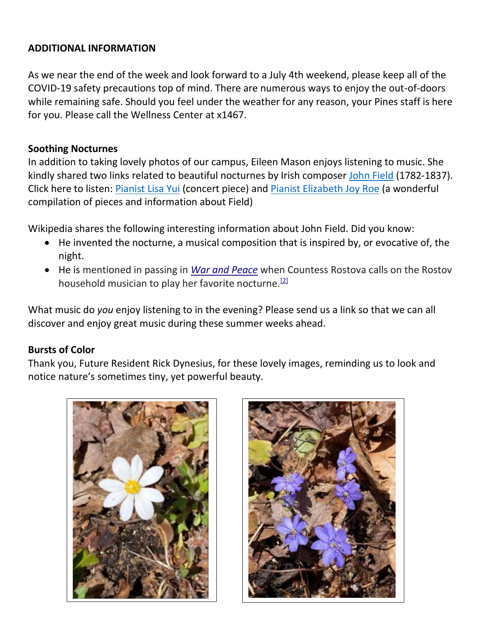### **ADDITIONAL INFORMATION**

As we near the end of the week and look forward to a July 4th weekend, please keep all of the COVID-19 safety precautions top of mind. There are numerous ways to enjoy the out-of-doors while remaining safe. Should you feel under the weather for any reason, your Pines staff is here for you. Please call the Wellness Center at x1467.

#### **Soothing Nocturnes**

In addition to taking lovely photos of our campus, Eileen Mason enjoys listening to music. She kindly shared two links related to beautiful nocturnes by Irish composer [John Field](https://en.wikipedia.org/wiki/John_Field_(composer)) (1782-1837). Click here to listen: [Pianist Lisa Yui](https://youtu.be/GIvqvmu9PXY) (concert piece) and [Pianist Elizabeth Joy Roe](https://youtu.be/CfiGPNYxPrM) (a wonderful compilation of pieces and information about Field)

Wikipedia shares the following interesting information about John Field. Did you know:

- He invented the nocturne, a musical composition that is inspired by, or evocative of, the night.
- He is mentioned in passing in *[War and Peace](https://en.wikipedia.org/wiki/War_and_Peace)* when Countess Rostova calls on the Rostov household musician to play her favorite nocturne.<sup>[\[2\]](https://en.wikipedia.org/wiki/John_Field_(composer)#cite_note-2)</sup>

What music do *you* enjoy listening to in the evening? Please send us a link so that we can all discover and enjoy great music during these summer weeks ahead.

#### **Bursts of Color**

Thank you, Future Resident Rick Dynesius, for these lovely images, reminding us to look and notice nature's sometimes tiny, yet powerful beauty.